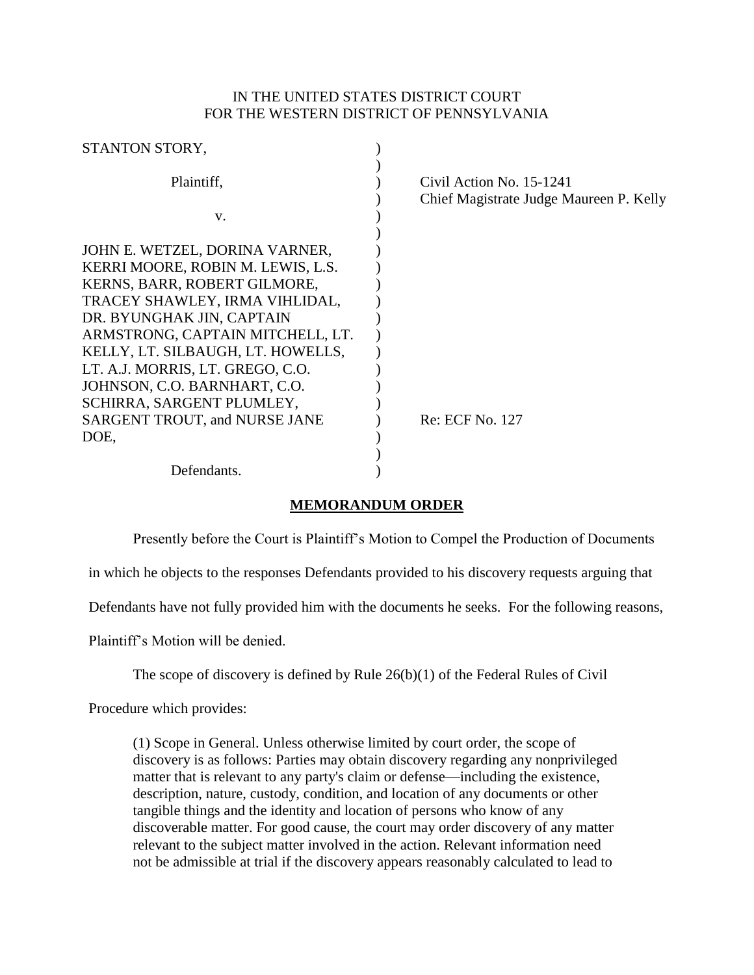# IN THE UNITED STATES DISTRICT COURT FOR THE WESTERN DISTRICT OF PENNSYLVANIA

| STANTON STORY,                       |                                                                     |
|--------------------------------------|---------------------------------------------------------------------|
| Plaintiff,                           | Civil Action No. 15-1241<br>Chief Magistrate Judge Maureen P. Kelly |
| V.                                   |                                                                     |
|                                      |                                                                     |
| JOHN E. WETZEL, DORINA VARNER,       |                                                                     |
| KERRI MOORE, ROBIN M. LEWIS, L.S.    |                                                                     |
| KERNS, BARR, ROBERT GILMORE,         |                                                                     |
| TRACEY SHAWLEY, IRMA VIHLIDAL,       |                                                                     |
| DR. BYUNGHAK JIN, CAPTAIN            |                                                                     |
| ARMSTRONG, CAPTAIN MITCHELL, LT.     |                                                                     |
| KELLY, LT. SILBAUGH, LT. HOWELLS,    |                                                                     |
| LT. A.J. MORRIS, LT. GREGO, C.O.     |                                                                     |
| JOHNSON, C.O. BARNHART, C.O.         |                                                                     |
| SCHIRRA, SARGENT PLUMLEY,            |                                                                     |
| <b>SARGENT TROUT, and NURSE JANE</b> | Re: ECF No. 127                                                     |
| DOE,                                 |                                                                     |
|                                      |                                                                     |
| Defendants.                          |                                                                     |

# **MEMORANDUM ORDER**

Presently before the Court is Plaintiff's Motion to Compel the Production of Documents

in which he objects to the responses Defendants provided to his discovery requests arguing that

Defendants have not fully provided him with the documents he seeks. For the following reasons,

Plaintiff's Motion will be denied.

The scope of discovery is defined by Rule 26(b)(1) of the Federal Rules of Civil

Procedure which provides:

(1) Scope in General. Unless otherwise limited by court order, the scope of discovery is as follows: Parties may obtain discovery regarding any nonprivileged matter that is relevant to any party's claim or defense—including the existence, description, nature, custody, condition, and location of any documents or other tangible things and the identity and location of persons who know of any discoverable matter. For good cause, the court may order discovery of any matter relevant to the subject matter involved in the action. Relevant information need not be admissible at trial if the discovery appears reasonably calculated to lead to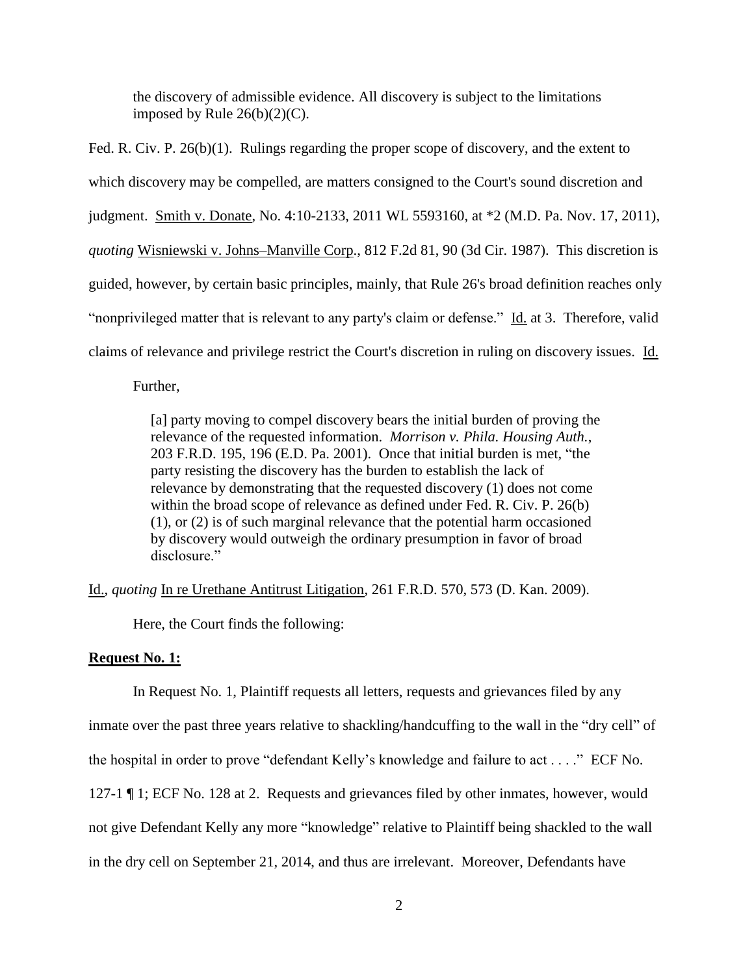the discovery of admissible evidence. All discovery is subject to the limitations imposed by Rule  $26(b)(2)(C)$ .

Fed. R. Civ. P. 26(b)(1). Rulings regarding the proper scope of discovery, and the extent to which discovery may be compelled, are matters consigned to the Court's sound discretion and judgment. Smith v. Donate, No. 4:10-2133, 2011 WL 5593160, at \*2 (M.D. Pa. Nov. 17, 2011), *quoting* Wisniewski v. Johns–Manville Corp., 812 F.2d 81, 90 (3d Cir. 1987). This discretion is guided, however, by certain basic principles, mainly, that Rule 26's broad definition reaches only "nonprivileged matter that is relevant to any party's claim or defense." Id. at 3. Therefore, valid claims of relevance and privilege restrict the Court's discretion in ruling on discovery issues. Id.

Further,

[a] party moving to compel discovery bears the initial burden of proving the relevance of the requested information. *Morrison v. Phila. Housing Auth.*, 203 F.R.D. 195, 196 (E.D. Pa. 2001). Once that initial burden is met, "the party resisting the discovery has the burden to establish the lack of relevance by demonstrating that the requested discovery (1) does not come within the broad scope of relevance as defined under Fed. R. Civ. P. 26(b) (1), or (2) is of such marginal relevance that the potential harm occasioned by discovery would outweigh the ordinary presumption in favor of broad disclosure."

Id., *quoting* In re Urethane Antitrust Litigation, 261 F.R.D. 570, 573 (D. Kan. 2009).

Here, the Court finds the following:

## **Request No. 1:**

In Request No. 1, Plaintiff requests all letters, requests and grievances filed by any

inmate over the past three years relative to shackling/handcuffing to the wall in the "dry cell" of

the hospital in order to prove "defendant Kelly's knowledge and failure to act . . . ." ECF No.

127-1 ¶ 1; ECF No. 128 at 2. Requests and grievances filed by other inmates, however, would

not give Defendant Kelly any more "knowledge" relative to Plaintiff being shackled to the wall

in the dry cell on September 21, 2014, and thus are irrelevant. Moreover, Defendants have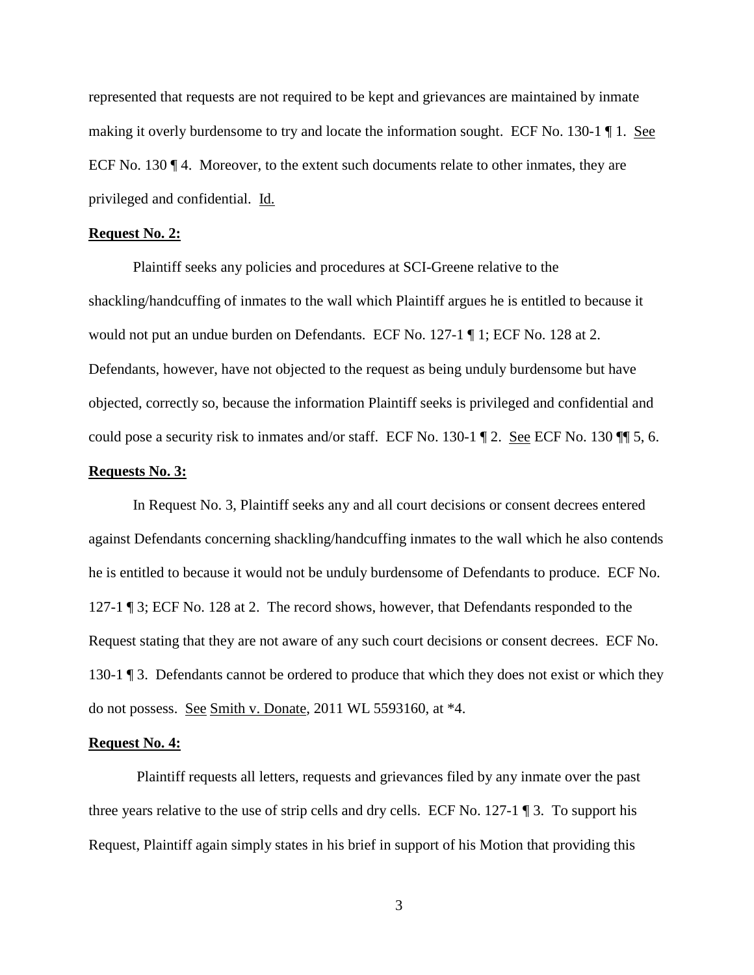represented that requests are not required to be kept and grievances are maintained by inmate making it overly burdensome to try and locate the information sought. ECF No. 130-1 ¶ 1. See ECF No. 130 ¶ 4. Moreover, to the extent such documents relate to other inmates, they are privileged and confidential. Id.

#### **Request No. 2:**

Plaintiff seeks any policies and procedures at SCI-Greene relative to the shackling/handcuffing of inmates to the wall which Plaintiff argues he is entitled to because it would not put an undue burden on Defendants. ECF No. 127-1 ¶ 1; ECF No. 128 at 2. Defendants, however, have not objected to the request as being unduly burdensome but have objected, correctly so, because the information Plaintiff seeks is privileged and confidential and could pose a security risk to inmates and/or staff. ECF No. 130-1 ¶ 2. <u>See</u> ECF No. 130 ¶ 5, 6.

## **Requests No. 3:**

In Request No. 3, Plaintiff seeks any and all court decisions or consent decrees entered against Defendants concerning shackling/handcuffing inmates to the wall which he also contends he is entitled to because it would not be unduly burdensome of Defendants to produce. ECF No. 127-1 ¶ 3; ECF No. 128 at 2. The record shows, however, that Defendants responded to the Request stating that they are not aware of any such court decisions or consent decrees. ECF No. 130-1 ¶ 3. Defendants cannot be ordered to produce that which they does not exist or which they do not possess. See Smith v. Donate, 2011 WL 5593160, at \*4.

#### **Request No. 4:**

Plaintiff requests all letters, requests and grievances filed by any inmate over the past three years relative to the use of strip cells and dry cells. ECF No. 127-1  $\P$ 3. To support his Request, Plaintiff again simply states in his brief in support of his Motion that providing this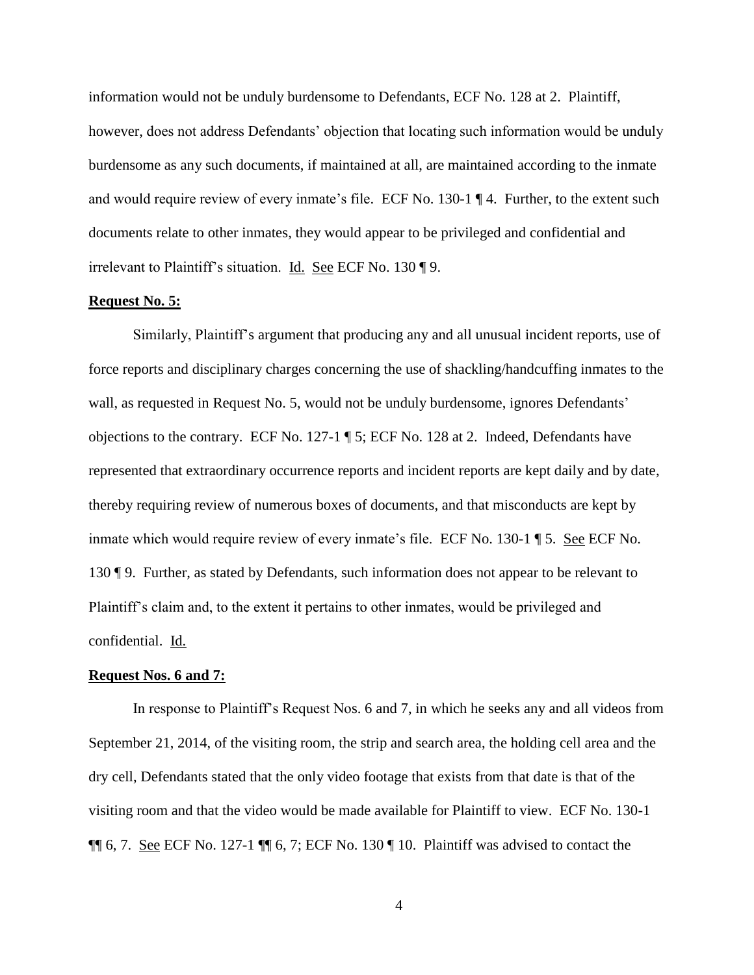information would not be unduly burdensome to Defendants, ECF No. 128 at 2. Plaintiff, however, does not address Defendants' objection that locating such information would be unduly burdensome as any such documents, if maintained at all, are maintained according to the inmate and would require review of every inmate's file. ECF No. 130-1 ¶ 4. Further, to the extent such documents relate to other inmates, they would appear to be privileged and confidential and irrelevant to Plaintiff's situation. Id. See ECF No. 130 ¶ 9.

### **Request No. 5:**

Similarly, Plaintiff's argument that producing any and all unusual incident reports, use of force reports and disciplinary charges concerning the use of shackling/handcuffing inmates to the wall, as requested in Request No. 5, would not be unduly burdensome, ignores Defendants' objections to the contrary. ECF No. 127-1 ¶ 5; ECF No. 128 at 2. Indeed, Defendants have represented that extraordinary occurrence reports and incident reports are kept daily and by date, thereby requiring review of numerous boxes of documents, and that misconducts are kept by inmate which would require review of every inmate's file. ECF No. 130-1 ¶ 5. See ECF No. 130 ¶ 9. Further, as stated by Defendants, such information does not appear to be relevant to Plaintiff's claim and, to the extent it pertains to other inmates, would be privileged and confidential. Id.

## **Request Nos. 6 and 7:**

In response to Plaintiff's Request Nos. 6 and 7, in which he seeks any and all videos from September 21, 2014, of the visiting room, the strip and search area, the holding cell area and the dry cell, Defendants stated that the only video footage that exists from that date is that of the visiting room and that the video would be made available for Plaintiff to view. ECF No. 130-1  $\P\P$  6, 7. See ECF No. 127-1  $\P\P$  6, 7; ECF No. 130  $\P$  10. Plaintiff was advised to contact the

4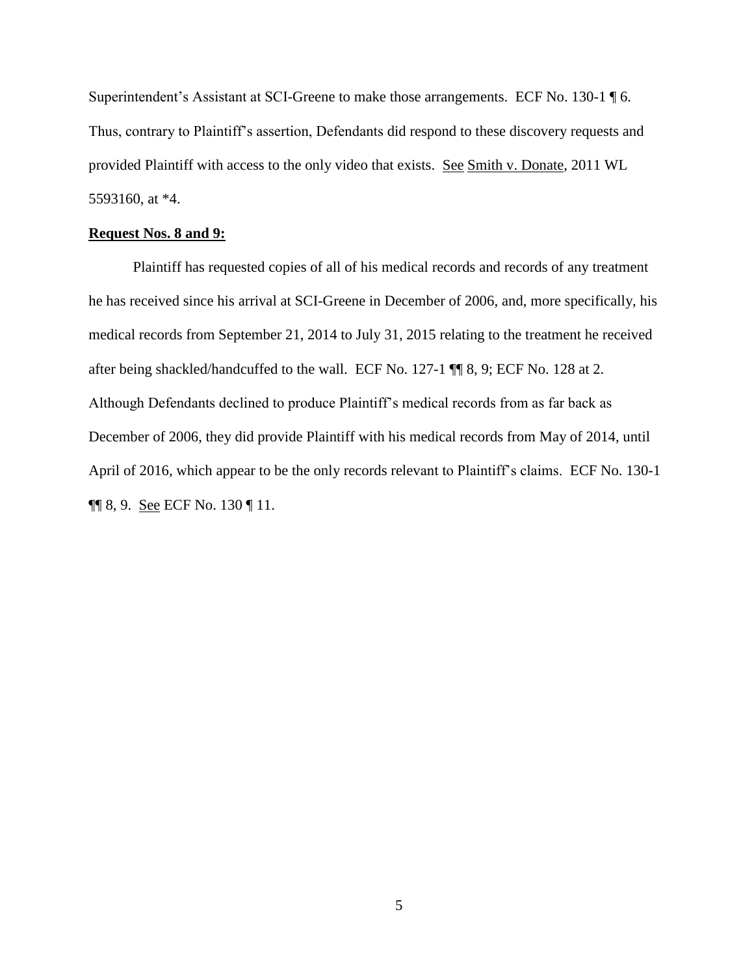Superintendent's Assistant at SCI-Greene to make those arrangements. ECF No. 130-1 ¶ 6. Thus, contrary to Plaintiff's assertion, Defendants did respond to these discovery requests and provided Plaintiff with access to the only video that exists. See Smith v. Donate, 2011 WL 5593160, at \*4.

### **Request Nos. 8 and 9:**

Plaintiff has requested copies of all of his medical records and records of any treatment he has received since his arrival at SCI-Greene in December of 2006, and, more specifically, his medical records from September 21, 2014 to July 31, 2015 relating to the treatment he received after being shackled/handcuffed to the wall. ECF No. 127-1 ¶¶ 8, 9; ECF No. 128 at 2. Although Defendants declined to produce Plaintiff's medical records from as far back as December of 2006, they did provide Plaintiff with his medical records from May of 2014, until April of 2016, which appear to be the only records relevant to Plaintiff's claims. ECF No. 130-1  $\P$  8, 9. <u>See</u> ECF No. 130 **[**11.